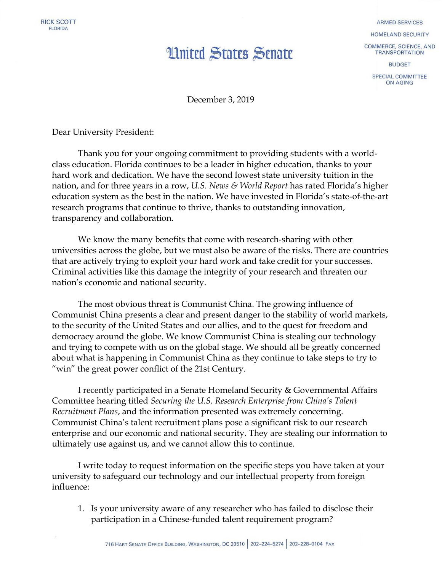

## **Hnited States Senate**

**ARMED SERVICES** 

HOMELAND SECURITY

COMMERCE, SCIENCE, AND **TRANSPORTATION** 

**BUDGET** 

SPECIAL COMMITTEE ON AGING

December 3, 2019

Dear University President:

Thank you for your ongoing commitment to providing students with a worldclass education. Florida continues to be a leader in higher education, thanks to your hard work and dedication. We have the second lowest state university tuition in the nation, and for three years in a row, *U.S. News & World Report* has rated Florida's higher education system as the best in the nation. We have invested in Florida's state-of-the-art research programs that continue to thrive, thanks to outstanding innovation, transparency and collaboration.

We know the many benefits that come with research-sharing with other universities across the globe, but we must also be aware of the risks. There are countries that are actively trying to exploit your hard work and take credit for your successes. Criminal activities like this damage the integrity of your research and threaten our nation's economic and national security.

The most obvious threat is Communist China. The growing influence of Communist China presents a clear and present danger to the stability of world markets, to the security of the United States and our allies, and to the quest for freedom and democracy around the globe. We know Communist China is stealing our technology and trying to compete with us on the global stage. We should all be greatly concerned about what is happening in Communist China as they continue to take steps to try to "win" the great power conflict of the 21st Century.

I recently participated in a Senate Homeland Security & Governmental Affairs Committee hearing titled *Securing the U.S. Research Enterprise from China's Talent Recruitment Plans*, and the information presented was extremely concerning. Communist China's talent recruitment plans pose a significant risk to our research enterprise and our economic and national security. They are stealing our information to ultimately use against us, and we cannot allow this to continue.

I write today to request information on the specific steps you have taken at your university to safeguard our technology and our intellectual property from foreign influence:

1. Is your university aware of any researcher who has failed to disclose their participation in a Chinese-funded talent requirement program?